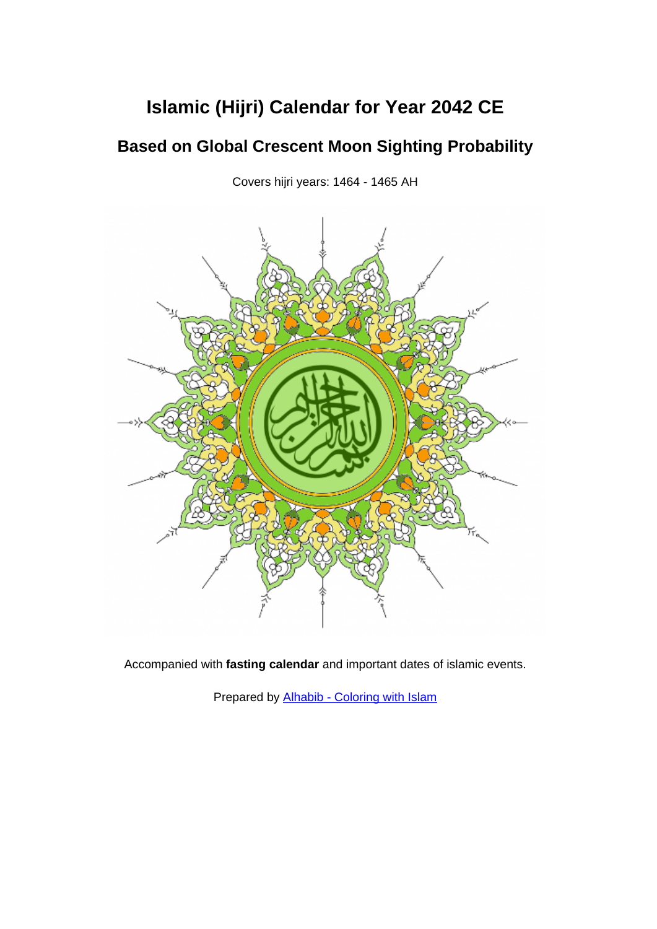# **Islamic (Hijri) Calendar for Year 2042 CE**

## **Based on Global Crescent Moon Sighting Probability**

Covers hijri years: 1464 - 1465 AH



Accompanied with **fasting calendar** and important dates of islamic events.

Prepared by [Alhabib - Coloring with Islam](https://www.al-habib.info/)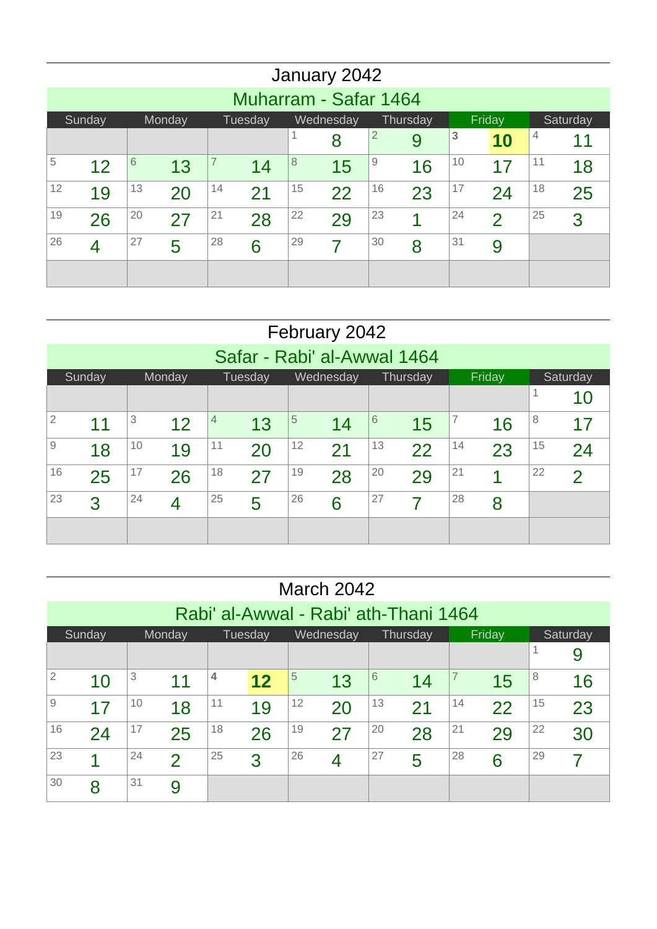|    |                                                                            |    |    |    |    |         | January 2042            |    |    |    |               |    |    |  |
|----|----------------------------------------------------------------------------|----|----|----|----|---------|-------------------------|----|----|----|---------------|----|----|--|
|    | Muharram - Safar 1464                                                      |    |    |    |    |         |                         |    |    |    |               |    |    |  |
|    | Sunday<br>Monday<br>Wednesday<br>Thursday<br>Friday<br>Tuesday<br>Saturday |    |    |    |    |         |                         |    |    |    |               |    |    |  |
|    | 3<br>$\overline{2}$<br>4<br>1<br>8<br>9<br>11<br>10                        |    |    |    |    |         |                         |    |    |    |               |    |    |  |
| 5  | 12                                                                         | 6  | 13 | 7  | 14 | $\,8\,$ | 15                      | 9  | 16 | 10 | 17            | 11 | 18 |  |
| 12 | 19                                                                         | 13 | 20 | 14 | 21 | 15      | 22                      | 16 | 23 | 17 | 24            | 18 | 25 |  |
| 19 | 26                                                                         | 20 | 27 | 21 | 28 | 22      | 29                      | 23 | 4  | 24 | $\mathcal{P}$ | 25 | 3  |  |
| 26 | $\overline{4}$                                                             | 27 | 5  | 28 | 6  | 29      | $\overline{\mathbf{z}}$ | 30 | 8  | 31 | 9             |    |    |  |
|    |                                                                            |    |    |    |    |         |                         |    |    |    |               |    |    |  |

|                |                                                                                   |    |        |    |                             |    | February 2042 |    |          |    |        |    |               |
|----------------|-----------------------------------------------------------------------------------|----|--------|----|-----------------------------|----|---------------|----|----------|----|--------|----|---------------|
|                |                                                                                   |    |        |    | Safar - Rabi' al-Awwal 1464 |    |               |    |          |    |        |    |               |
|                | Sunday                                                                            |    | Monday |    | Tuesday                     |    | Wednesday     |    | Thursday |    | Friday |    | Saturday      |
|                | 1<br>10                                                                           |    |        |    |                             |    |               |    |          |    |        |    |               |
| $\overline{2}$ | $\overline{5}$<br>3<br>7<br>8<br>6<br>4<br>12<br>11<br>14<br>13<br>15<br>16<br>17 |    |        |    |                             |    |               |    |          |    |        |    |               |
| $\overline{9}$ | 18                                                                                | 10 | 19     | 11 | 20                          | 12 | 21            | 13 | 22       | 14 | 23     | 15 | 24            |
| 16             | 25                                                                                | 17 | 26     | 18 | 27                          | 19 | 28            | 20 | 29       | 21 | 1      | 22 | $\mathcal{P}$ |
| 23             | 26<br>28<br>24<br>25<br>27<br>3<br>5<br>6<br>7<br>8<br>4                          |    |        |    |                             |    |               |    |          |    |        |    |               |
|                |                                                                                   |    |        |    |                             |    |               |    |          |    |        |    |               |

|                |                                                                            |    |               |    |    |    | March 2042 |    |    |    |    |    |    |
|----------------|----------------------------------------------------------------------------|----|---------------|----|----|----|------------|----|----|----|----|----|----|
|                | Rabi' al-Awwal - Rabi' ath-Thani 1464                                      |    |               |    |    |    |            |    |    |    |    |    |    |
|                | Friday<br>Tuesday<br>Wednesday<br>Sunday<br>Monday<br>Thursday<br>Saturday |    |               |    |    |    |            |    |    |    |    |    |    |
|                |                                                                            |    |               |    |    |    |            |    |    |    |    |    | 9  |
| $\overline{2}$ | 10                                                                         | 3  | 11            | 4  | 12 | 5  | 13         | 6  | 14 | 7  | 15 | 8  | 16 |
| 9              | 17                                                                         | 10 | 18            | 11 | 19 | 12 | 20         | 13 | 21 | 14 | 22 | 15 | 23 |
| 16             | 24                                                                         | 17 | 25            | 18 | 26 | 19 | 27         | 20 | 28 | 21 | 29 | 22 | 30 |
| 23             | 1                                                                          | 24 | $\mathcal{P}$ | 25 | 3  | 26 | 4          | 27 | 5  | 28 | 6  | 29 | 7  |
| 30             | 8                                                                          | 31 | 9             |    |    |    |            |    |    |    |    |    |    |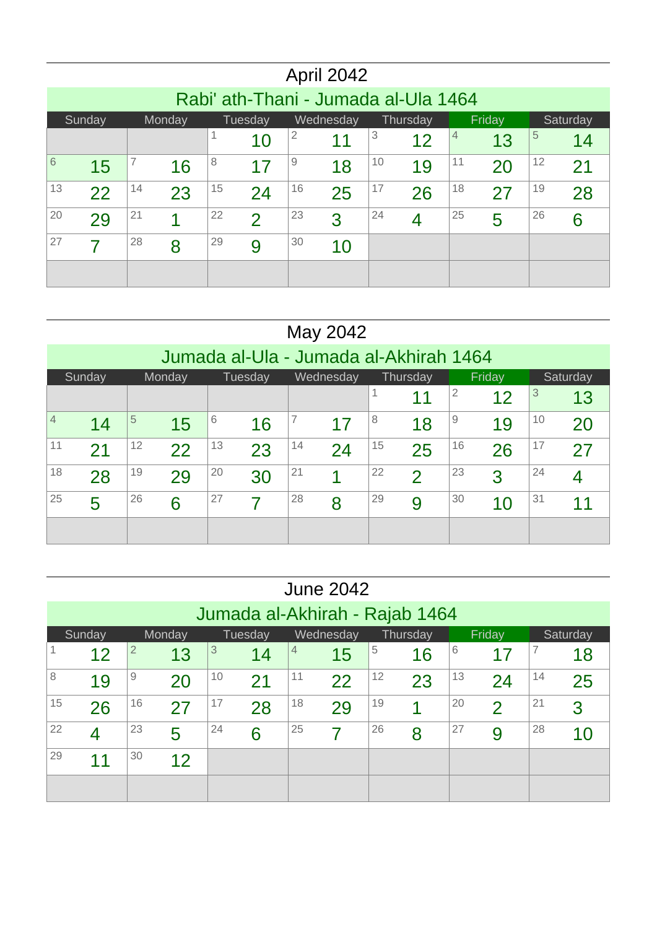|    |                                                                            |                |    |    |               |    | April 2042     |    |    |    |    |    |    |  |
|----|----------------------------------------------------------------------------|----------------|----|----|---------------|----|----------------|----|----|----|----|----|----|--|
|    | Rabi' ath-Thani - Jumada al-Ula 1464                                       |                |    |    |               |    |                |    |    |    |    |    |    |  |
|    | Friday<br>Tuesday<br>Wednesday<br>Sunday<br>Monday<br>Thursday<br>Saturday |                |    |    |               |    |                |    |    |    |    |    |    |  |
|    | 5<br>$\overline{2}$<br>3<br>1<br>4<br>11<br>12<br>13<br>14<br>10           |                |    |    |               |    |                |    |    |    |    |    |    |  |
| 6  | 15                                                                         | $\overline{7}$ | 16 | 8  | 17            | 9  | 18             | 10 | 19 | 11 | 20 | 12 | 21 |  |
| 13 | 22                                                                         | 14             | 23 | 15 | 24            | 16 | 25             | 17 | 26 | 18 | 27 | 19 | 28 |  |
| 20 | 29                                                                         | 21             | 4  | 22 | $\mathcal{P}$ | 23 | 3              | 24 | 4  | 25 | 5  | 26 | 6  |  |
| 27 | 7                                                                          | 28             | 8  | 29 | 9             | 30 | 1 <sub>0</sub> |    |    |    |    |    |    |  |
|    |                                                                            |                |    |    |               |    |                |    |    |    |    |    |    |  |

#### May 2042 Jumada al-Ula - Jumada al-Akhirah 1464 Sunday Monday Tuesday Wednesday Thursday Friday Saturday 11  $|^{2}$  12  $|^{3}$  13  $^4$  14  $|^5$  15  $|^6$  16  $|^7$  17  $|^8$  18  $|^9$  19  $|^{\rm 10}$  20  $^{11}$  21  $|^{12}$  22  $|^{13}$  23  $|^{14}$  24  $|^{15}$  25  $|^{16}$  26  $|^{17}$  27 28  $19$  29  $20$  30  $21$  1 2 3  $24 \t 4$  5 6  $27 \frac{27}{7}$  8 9 10  $31$  11

|    |                                                                            |                |    |    |    |                | <b>June 2042</b> |    |    |    |               |    |    |
|----|----------------------------------------------------------------------------|----------------|----|----|----|----------------|------------------|----|----|----|---------------|----|----|
|    | Jumada al-Akhirah - Rajab 1464                                             |                |    |    |    |                |                  |    |    |    |               |    |    |
|    | Wednesday<br>Thursday<br>Friday<br>Sunday<br>Monday<br>Tuesday<br>Saturday |                |    |    |    |                |                  |    |    |    |               |    |    |
|    | 12                                                                         | $\overline{2}$ | 13 | 3  | 14 | $\overline{4}$ | 15               | 5  | 16 | 6  | 17            | 7  | 18 |
| 8  | 19                                                                         | 9              | 20 | 10 | 21 | 11             | 22               | 12 | 23 | 13 | 24            | 14 | 25 |
| 15 | 26                                                                         | 16             | 27 | 17 | 28 | 18             | 29               | 19 | 4  | 20 | $\mathcal{P}$ | 21 | 3  |
| 22 | $\overline{4}$                                                             | 23             | 5  | 24 | 6  | 25             | 7                | 26 | 8  | 27 | 9             | 28 | 10 |
| 29 | 1 <sub>1</sub>                                                             | 30             | 12 |    |    |                |                  |    |    |    |               |    |    |
|    |                                                                            |                |    |    |    |                |                  |    |    |    |               |    |    |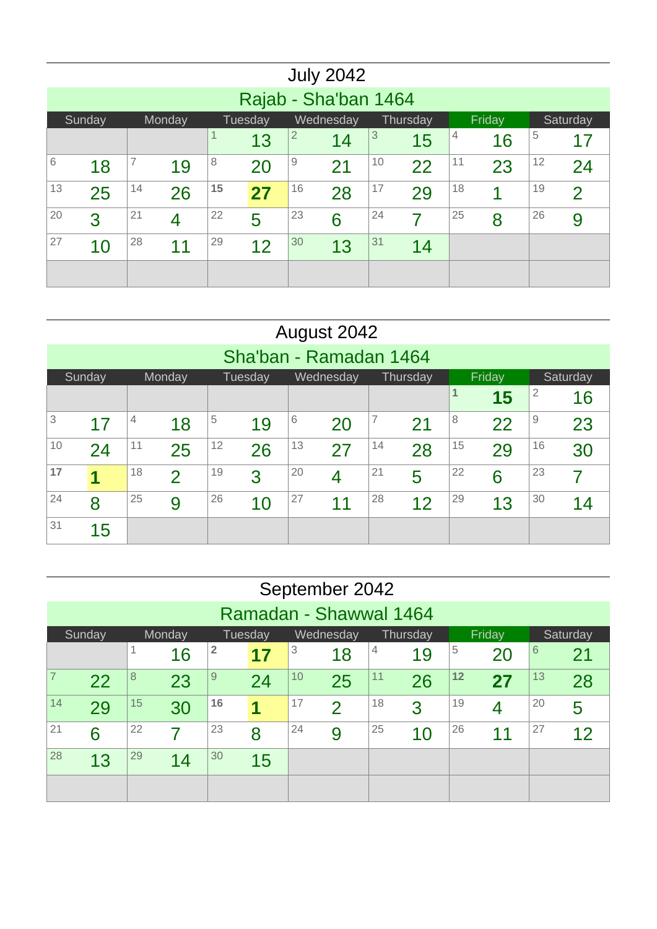|    |                                                                            |    |    |              |    |                | <b>July 2042</b> |    |    |    |    |    |                |
|----|----------------------------------------------------------------------------|----|----|--------------|----|----------------|------------------|----|----|----|----|----|----------------|
|    | Rajab - Sha'ban 1464                                                       |    |    |              |    |                |                  |    |    |    |    |    |                |
|    | Wednesday<br>Tuesday<br>Thursday<br>Friday<br>Sunday<br>Monday<br>Saturday |    |    |              |    |                |                  |    |    |    |    |    |                |
|    |                                                                            |    |    | $\mathbf{1}$ | 13 | $\overline{2}$ | 14               | 3  | 15 | 4  | 16 | 5  | 17             |
| 6  | 18                                                                         | 7  | 19 | 8            | 20 | $\mathbf 9$    | 21               | 10 | 22 | 11 | 23 | 12 | 24             |
| 13 | 25                                                                         | 14 | 26 | 15           | 27 | 16             | 28               | 17 | 29 | 18 | 4  | 19 | $\overline{2}$ |
| 20 | 3                                                                          | 21 | 4  | 22           | 5  | 23             | 6                | 24 | 7  | 25 | 8  | 26 | 9              |
| 27 | 10                                                                         | 28 | 11 | 29           | 12 | 30             | 13               | 31 | 14 |    |    |    |                |
|    |                                                                            |    |    |              |    |                |                  |    |    |    |    |    |                |

|    |                                                                            |    |               |    |    |    | August 2042              |    |    |    |    |                |    |  |
|----|----------------------------------------------------------------------------|----|---------------|----|----|----|--------------------------|----|----|----|----|----------------|----|--|
|    | Sha'ban - Ramadan 1464                                                     |    |               |    |    |    |                          |    |    |    |    |                |    |  |
|    | Friday<br>Sunday<br>Tuesday<br>Wednesday<br>Monday<br>Thursday<br>Saturday |    |               |    |    |    |                          |    |    |    |    |                |    |  |
|    |                                                                            |    |               |    |    |    |                          |    |    | 1  | 15 | $\overline{2}$ | 16 |  |
| 3  | 17                                                                         | 4  | 18            | 5  | 19 | 6  | 20                       | 7  | 21 | 8  | 22 | 9              | 23 |  |
| 10 | 24                                                                         | 11 | 25            | 12 | 26 | 13 | 27                       | 14 | 28 | 15 | 29 | 16             | 30 |  |
| 17 | 1                                                                          | 18 | $\mathcal{P}$ | 19 | 3  | 20 | $\overline{\mathcal{A}}$ | 21 | 5  | 22 | 6  | 23             | 7  |  |
| 24 | 8                                                                          | 25 | 9             | 26 | 10 | 27 | 11                       | 28 | 12 | 29 | 13 | 30             | 14 |  |
| 31 | 15                                                                         |    |               |    |    |    |                          |    |    |    |    |                |    |  |

|    |                                                                            |    |    |                         |    |    | September 2042 |    |    |    |    |    |    |
|----|----------------------------------------------------------------------------|----|----|-------------------------|----|----|----------------|----|----|----|----|----|----|
|    | Ramadan - Shawwal 1464                                                     |    |    |                         |    |    |                |    |    |    |    |    |    |
|    | Friday<br>Sunday<br>Monday<br>Wednesday<br>Thursday<br>Saturday<br>Tuesday |    |    |                         |    |    |                |    |    |    |    |    |    |
|    |                                                                            | 1  | 16 | $\overline{\mathbf{2}}$ | 17 | 3  | 18             | 4  | 19 | 5  | 20 | 6  | 21 |
| 7  | 22                                                                         | 8  | 23 | 9                       | 24 | 10 | 25             | 11 | 26 | 12 | 27 | 13 | 28 |
| 14 | 29                                                                         | 15 | 30 | 16                      | 1  | 17 | $\overline{2}$ | 18 | 3  | 19 | 4  | 20 | 5  |
| 21 | 6                                                                          | 22 | 7  | 23                      | 8  | 24 | 9              | 25 | 10 | 26 | 11 | 27 | 12 |
| 28 | 13                                                                         | 29 | 14 | 30                      | 15 |    |                |    |    |    |    |    |    |
|    |                                                                            |    |    |                         |    |    |                |    |    |    |    |    |    |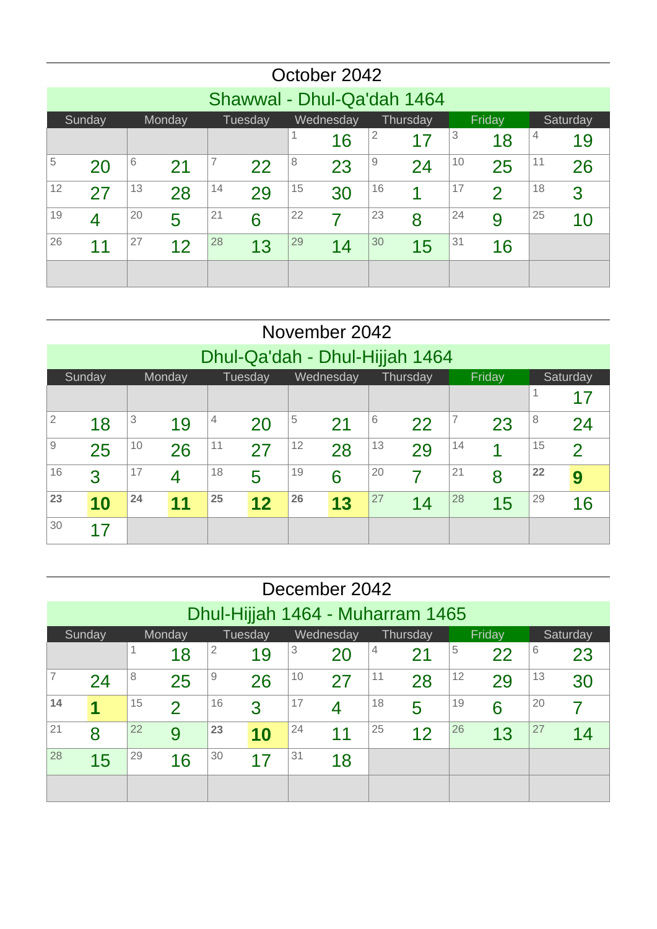|    |                                                                            |    |    |    |    |    | October 2042 |    |    |    |                          |    |    |  |
|----|----------------------------------------------------------------------------|----|----|----|----|----|--------------|----|----|----|--------------------------|----|----|--|
|    | Shawwal - Dhul-Qa'dah 1464                                                 |    |    |    |    |    |              |    |    |    |                          |    |    |  |
|    | Wednesday<br>Thursday<br>Friday<br>Sunday<br>Monday<br>Tuesday<br>Saturday |    |    |    |    |    |              |    |    |    |                          |    |    |  |
|    | $\overline{2}$<br>3<br>4<br>17<br>18<br>19<br>16                           |    |    |    |    |    |              |    |    |    |                          |    |    |  |
| 5  | 7<br>10<br>6<br>8<br>9<br>11<br>25<br>23<br>24<br>26<br>20<br>21<br>22     |    |    |    |    |    |              |    |    |    |                          |    |    |  |
| 12 | 27                                                                         | 13 | 28 | 14 | 29 | 15 | 30           | 16 | 4  | 17 | $\overline{\mathcal{L}}$ | 18 | 3  |  |
| 19 | 4                                                                          | 20 | 5  | 21 | 6  | 22 | 7            | 23 | 8  | 24 | 9                        | 25 | 10 |  |
| 26 | 11                                                                         | 27 | 12 | 28 | 13 | 29 | 14           | 30 | 15 | 31 | 16                       |    |    |  |
|    |                                                                            |    |    |    |    |    |              |    |    |    |                          |    |    |  |

|                                                                            |                                |    |                                                           |    |    |    | November 2042 |    |    |    |    |    |                |  |  |
|----------------------------------------------------------------------------|--------------------------------|----|-----------------------------------------------------------|----|----|----|---------------|----|----|----|----|----|----------------|--|--|
|                                                                            | Dhul-Qa'dah - Dhul-Hijjah 1464 |    |                                                           |    |    |    |               |    |    |    |    |    |                |  |  |
| Wednesday<br>Tuesday<br>Thursday<br>Friday<br>Sunday<br>Monday<br>Saturday |                                |    |                                                           |    |    |    |               |    |    |    |    |    |                |  |  |
|                                                                            |                                |    |                                                           |    |    |    |               |    |    |    |    |    | 17             |  |  |
| $\overline{2}$                                                             | 18                             | 3  | 5<br>6<br>7<br>8<br>4<br>19<br>21<br>22<br>23<br>20<br>24 |    |    |    |               |    |    |    |    |    |                |  |  |
| 9                                                                          | 25                             | 10 | 26                                                        | 11 | 27 | 12 | 28            | 13 | 29 | 14 |    | 15 | $\overline{2}$ |  |  |
| 16                                                                         | 3                              | 17 | 4                                                         | 18 | 5  | 19 | 6             | 20 | 7  | 21 | 8  | 22 | 9              |  |  |
| 23                                                                         | 10                             | 24 | 11                                                        | 25 | 12 | 26 | 13            | 27 | 14 | 28 | 15 | 29 | 16             |  |  |
| 30                                                                         |                                |    |                                                           |    |    |    |               |    |    |    |    |    |                |  |  |

|    |                                                                            |    |              |    |    |    | December 2042 |    |    |    |    |    |    |
|----|----------------------------------------------------------------------------|----|--------------|----|----|----|---------------|----|----|----|----|----|----|
|    | Dhul-Hijjah 1464 - Muharram 1465                                           |    |              |    |    |    |               |    |    |    |    |    |    |
|    | Wednesday<br>Tuesday<br>Friday<br>Sunday<br>Monday<br>Thursday<br>Saturday |    |              |    |    |    |               |    |    |    |    |    |    |
|    | 2<br>3<br>5<br>1<br>6<br>4<br>18<br>22<br>23<br>19<br>20<br>21             |    |              |    |    |    |               |    |    |    |    |    |    |
|    | 11<br>12<br>9<br>10<br>13<br>8<br>28<br>25<br>26<br>27<br>29<br>30<br>24   |    |              |    |    |    |               |    |    |    |    |    |    |
| 14 | 1                                                                          | 15 | $\mathcal P$ | 16 | 3  | 17 | 4             | 18 | 5  | 19 | 6  | 20 |    |
| 21 | 8                                                                          | 22 | 9            | 23 | 10 | 24 | 11            | 25 | 12 | 26 | 13 | 27 | 14 |
| 28 | 30<br>31<br>29<br>16<br>15<br>17<br>18                                     |    |              |    |    |    |               |    |    |    |    |    |    |
|    |                                                                            |    |              |    |    |    |               |    |    |    |    |    |    |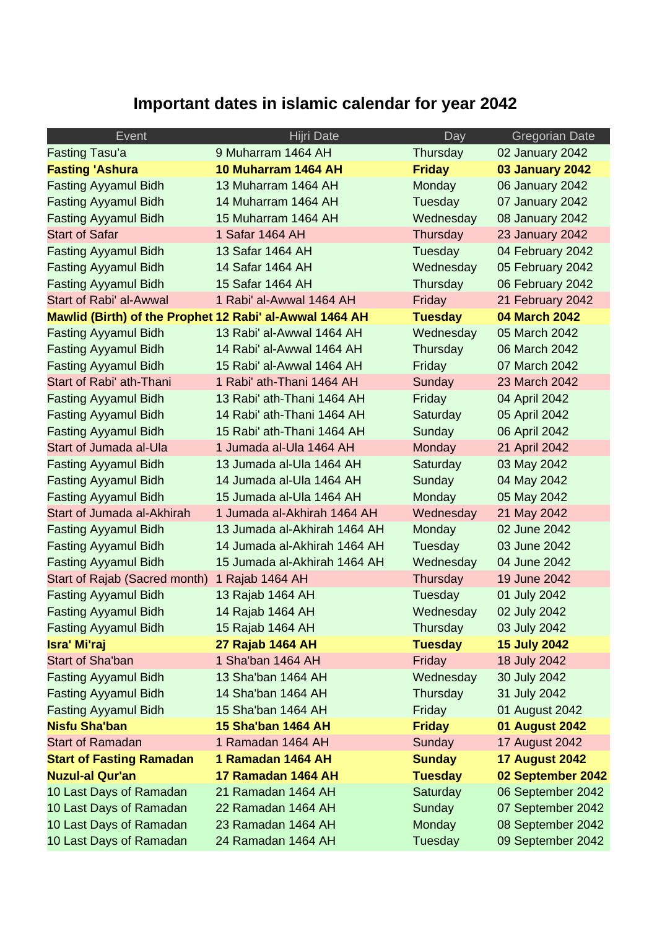# **Important dates in islamic calendar for year 2042**

| Event                                                   | Hijri Date                   | Day            | <b>Gregorian Date</b> |
|---------------------------------------------------------|------------------------------|----------------|-----------------------|
| <b>Fasting Tasu'a</b>                                   | 9 Muharram 1464 AH           | Thursday       | 02 January 2042       |
| <b>Fasting 'Ashura</b>                                  | 10 Muharram 1464 AH          | <b>Friday</b>  | 03 January 2042       |
| <b>Fasting Ayyamul Bidh</b>                             | 13 Muharram 1464 AH          | Monday         | 06 January 2042       |
| <b>Fasting Ayyamul Bidh</b>                             | 14 Muharram 1464 AH          | Tuesday        | 07 January 2042       |
| <b>Fasting Ayyamul Bidh</b>                             | 15 Muharram 1464 AH          | Wednesday      | 08 January 2042       |
| <b>Start of Safar</b>                                   | 1 Safar 1464 AH              | Thursday       | 23 January 2042       |
| <b>Fasting Ayyamul Bidh</b>                             | 13 Safar 1464 AH             | Tuesday        | 04 February 2042      |
| <b>Fasting Ayyamul Bidh</b>                             | 14 Safar 1464 AH             | Wednesday      | 05 February 2042      |
| <b>Fasting Ayyamul Bidh</b>                             | 15 Safar 1464 AH             | Thursday       | 06 February 2042      |
| Start of Rabi' al-Awwal                                 | 1 Rabi' al-Awwal 1464 AH     | Friday         | 21 February 2042      |
| Mawlid (Birth) of the Prophet 12 Rabi' al-Awwal 1464 AH |                              | <b>Tuesday</b> | 04 March 2042         |
| <b>Fasting Ayyamul Bidh</b>                             | 13 Rabi' al-Awwal 1464 AH    | Wednesday      | 05 March 2042         |
| <b>Fasting Ayyamul Bidh</b>                             | 14 Rabi' al-Awwal 1464 AH    | Thursday       | 06 March 2042         |
| <b>Fasting Ayyamul Bidh</b>                             | 15 Rabi' al-Awwal 1464 AH    | Friday         | 07 March 2042         |
| Start of Rabi' ath-Thani                                | 1 Rabi' ath-Thani 1464 AH    | Sunday         | 23 March 2042         |
| <b>Fasting Ayyamul Bidh</b>                             | 13 Rabi' ath-Thani 1464 AH   | Friday         | 04 April 2042         |
| <b>Fasting Ayyamul Bidh</b>                             | 14 Rabi' ath-Thani 1464 AH   | Saturday       | 05 April 2042         |
| <b>Fasting Ayyamul Bidh</b>                             | 15 Rabi' ath-Thani 1464 AH   | Sunday         | 06 April 2042         |
| Start of Jumada al-Ula                                  | 1 Jumada al-Ula 1464 AH      | Monday         | 21 April 2042         |
| <b>Fasting Ayyamul Bidh</b>                             | 13 Jumada al-Ula 1464 AH     | Saturday       | 03 May 2042           |
| <b>Fasting Ayyamul Bidh</b>                             | 14 Jumada al-Ula 1464 AH     | Sunday         | 04 May 2042           |
| <b>Fasting Ayyamul Bidh</b>                             | 15 Jumada al-Ula 1464 AH     | Monday         | 05 May 2042           |
| Start of Jumada al-Akhirah                              | 1 Jumada al-Akhirah 1464 AH  | Wednesday      | 21 May 2042           |
| <b>Fasting Ayyamul Bidh</b>                             | 13 Jumada al-Akhirah 1464 AH | Monday         | 02 June 2042          |
| <b>Fasting Ayyamul Bidh</b>                             | 14 Jumada al-Akhirah 1464 AH | Tuesday        | 03 June 2042          |
| <b>Fasting Ayyamul Bidh</b>                             | 15 Jumada al-Akhirah 1464 AH | Wednesday      | 04 June 2042          |
| Start of Rajab (Sacred month)                           | 1 Rajab 1464 AH              | Thursday       | 19 June 2042          |
| <b>Fasting Ayyamul Bidh</b>                             | 13 Rajab 1464 AH             | Tuesday        | 01 July 2042          |
| <b>Fasting Ayyamul Bidh</b>                             | 14 Rajab 1464 AH             | Wednesday      | 02 July 2042          |
| <b>Fasting Ayyamul Bidh</b>                             | 15 Rajab 1464 AH             | Thursday       | 03 July 2042          |
| Isra' Mi'raj                                            | 27 Rajab 1464 AH             | <b>Tuesday</b> | <b>15 July 2042</b>   |
| <b>Start of Sha'ban</b>                                 | 1 Sha'ban 1464 AH            | Friday         | 18 July 2042          |
| <b>Fasting Ayyamul Bidh</b>                             | 13 Sha'ban 1464 AH           | Wednesday      | 30 July 2042          |
| <b>Fasting Ayyamul Bidh</b>                             | 14 Sha'ban 1464 AH           | Thursday       | 31 July 2042          |
| <b>Fasting Ayyamul Bidh</b>                             | 15 Sha'ban 1464 AH           | Friday         | 01 August 2042        |
| <b>Nisfu Sha'ban</b>                                    | <b>15 Sha'ban 1464 AH</b>    | <b>Friday</b>  | 01 August 2042        |
| <b>Start of Ramadan</b>                                 | 1 Ramadan 1464 AH            | Sunday         | <b>17 August 2042</b> |
| <b>Start of Fasting Ramadan</b>                         | 1 Ramadan 1464 AH            | <b>Sunday</b>  | <b>17 August 2042</b> |
| <b>Nuzul-al Qur'an</b>                                  | 17 Ramadan 1464 AH           | <b>Tuesday</b> | 02 September 2042     |
| 10 Last Days of Ramadan                                 | 21 Ramadan 1464 AH           | Saturday       | 06 September 2042     |
| 10 Last Days of Ramadan                                 | 22 Ramadan 1464 AH           | Sunday         | 07 September 2042     |
| 10 Last Days of Ramadan                                 | 23 Ramadan 1464 AH           | Monday         | 08 September 2042     |
| 10 Last Days of Ramadan                                 | 24 Ramadan 1464 AH           | Tuesday        | 09 September 2042     |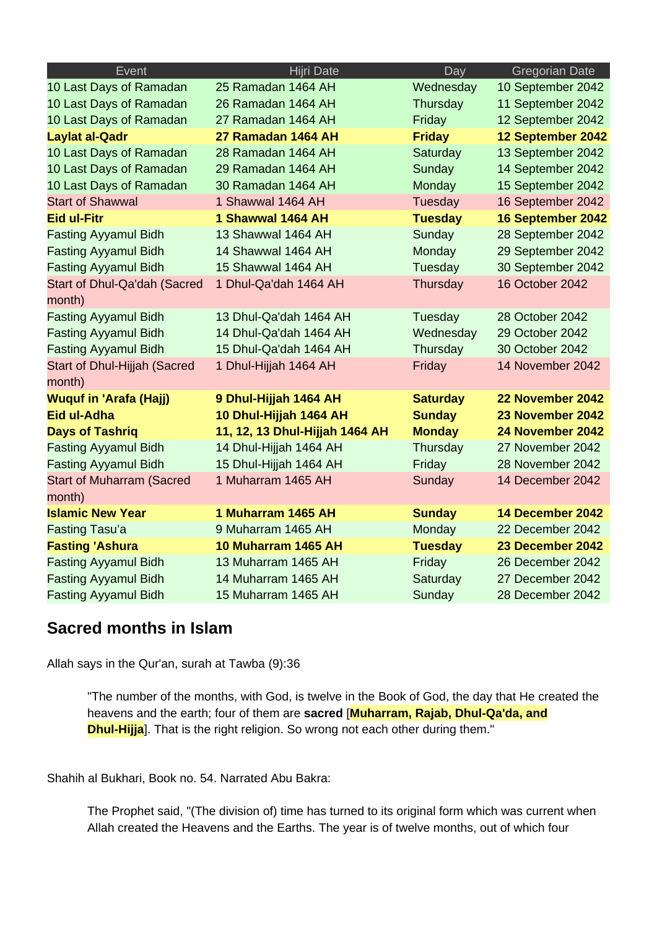| Event                            | Hijri Date                     | Day             | <b>Gregorian Date</b> |
|----------------------------------|--------------------------------|-----------------|-----------------------|
| 10 Last Days of Ramadan          | 25 Ramadan 1464 AH             | Wednesday       | 10 September 2042     |
| 10 Last Days of Ramadan          | 26 Ramadan 1464 AH             | Thursday        | 11 September 2042     |
| 10 Last Days of Ramadan          | 27 Ramadan 1464 AH             | Friday          | 12 September 2042     |
| <b>Laylat al-Qadr</b>            | 27 Ramadan 1464 AH             | <b>Friday</b>   | 12 September 2042     |
| 10 Last Days of Ramadan          | 28 Ramadan 1464 AH             | Saturday        | 13 September 2042     |
| 10 Last Days of Ramadan          | 29 Ramadan 1464 AH             | Sunday          | 14 September 2042     |
| 10 Last Days of Ramadan          | 30 Ramadan 1464 AH             | Monday          | 15 September 2042     |
| <b>Start of Shawwal</b>          | 1 Shawwal 1464 AH              | Tuesday         | 16 September 2042     |
| <b>Eid ul-Fitr</b>               | 1 Shawwal 1464 AH              | <b>Tuesday</b>  | 16 September 2042     |
| <b>Fasting Ayyamul Bidh</b>      | 13 Shawwal 1464 AH             | Sunday          | 28 September 2042     |
| <b>Fasting Ayyamul Bidh</b>      | 14 Shawwal 1464 AH             | Monday          | 29 September 2042     |
| <b>Fasting Ayyamul Bidh</b>      | 15 Shawwal 1464 AH             | Tuesday         | 30 September 2042     |
| Start of Dhul-Qa'dah (Sacred     | 1 Dhul-Qa'dah 1464 AH          | Thursday        | 16 October 2042       |
| month)                           |                                |                 |                       |
| <b>Fasting Ayyamul Bidh</b>      | 13 Dhul-Qa'dah 1464 AH         | Tuesday         | 28 October 2042       |
| <b>Fasting Ayyamul Bidh</b>      | 14 Dhul-Qa'dah 1464 AH         | Wednesday       | 29 October 2042       |
| <b>Fasting Ayyamul Bidh</b>      | 15 Dhul-Qa'dah 1464 AH         | Thursday        | 30 October 2042       |
| Start of Dhul-Hijjah (Sacred     | 1 Dhul-Hijjah 1464 AH          | Friday          | 14 November 2042      |
| month)                           |                                |                 |                       |
| <b>Wuquf in 'Arafa (Hajj)</b>    | 9 Dhul-Hijjah 1464 AH          | <b>Saturday</b> | 22 November 2042      |
| Eid ul-Adha                      | 10 Dhul-Hijjah 1464 AH         | <b>Sunday</b>   | 23 November 2042      |
| <b>Days of Tashrig</b>           | 11, 12, 13 Dhul-Hijjah 1464 AH | <b>Monday</b>   | 24 November 2042      |
| <b>Fasting Ayyamul Bidh</b>      | 14 Dhul-Hijjah 1464 AH         | Thursday        | 27 November 2042      |
| <b>Fasting Ayyamul Bidh</b>      | 15 Dhul-Hijjah 1464 AH         | Friday          | 28 November 2042      |
| <b>Start of Muharram (Sacred</b> | 1 Muharram 1465 AH             | Sunday          | 14 December 2042      |
| month)                           |                                |                 |                       |
| <b>Islamic New Year</b>          | 1 Muharram 1465 AH             | <b>Sunday</b>   | 14 December 2042      |
| <b>Fasting Tasu'a</b>            | 9 Muharram 1465 AH             | Monday          | 22 December 2042      |
| <b>Fasting 'Ashura</b>           | 10 Muharram 1465 AH            | <b>Tuesday</b>  | 23 December 2042      |
| <b>Fasting Ayyamul Bidh</b>      | 13 Muharram 1465 AH            | Friday          | 26 December 2042      |
| <b>Fasting Ayyamul Bidh</b>      | 14 Muharram 1465 AH            | Saturday        | 27 December 2042      |
| <b>Fasting Ayyamul Bidh</b>      | 15 Muharram 1465 AH            | Sunday          | 28 December 2042      |

### **Sacred months in Islam**

Allah says in the Qur'an, surah at Tawba (9):36

"The number of the months, with God, is twelve in the Book of God, the day that He created the heavens and the earth; four of them are **sacred** [**Muharram, Rajab, Dhul-Qa'da, and Dhul-Hijja**]. That is the right religion. So wrong not each other during them."

Shahih al Bukhari, Book no. 54. Narrated Abu Bakra:

The Prophet said, "(The division of) time has turned to its original form which was current when Allah created the Heavens and the Earths. The year is of twelve months, out of which four